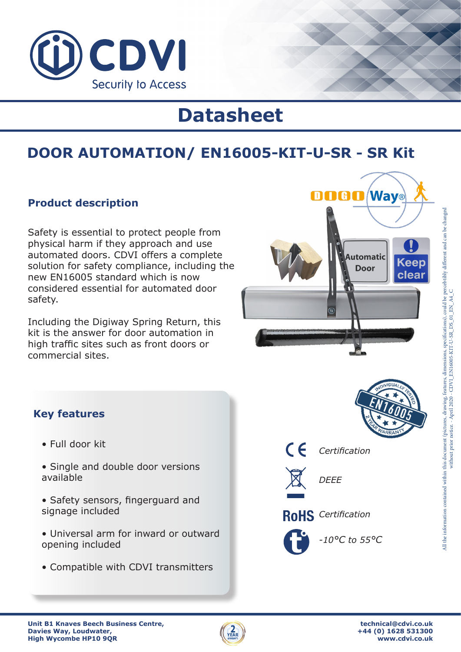

# **Datasheet**

# **DOOR AUTOMATION/ EN16005-KIT-U-SR - SR Kit**

#### **Product description**

Safety is essential to protect people from physical harm if they approach and use automated doors. CDVI offers a complete solution for safety compliance, including the new EN16005 standard which is now considered essential for automated door safety.

Including the Digiway Spring Return, this kit is the answer for door automation in high traffic sites such as front doors or commercial sites.



#### **Key features**

- Full door kit
- Single and double door versions available
- Safety sensors, fingerguard and signage included
- Universal arm for inward or outward opening included
- Compatible with CDVI transmitters